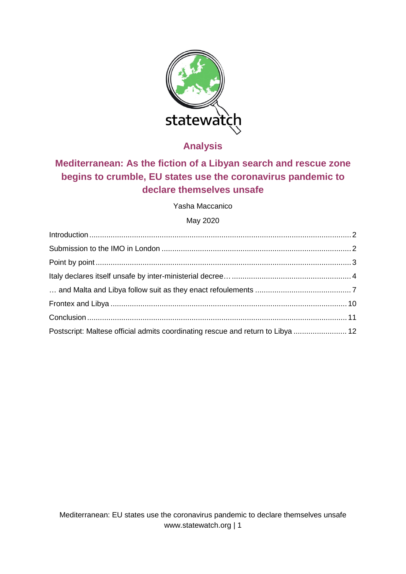

**Analysis**

# **Mediterranean: As the fiction of a Libyan search and rescue zone begins to crumble, EU states use the coronavirus pandemic to declare themselves unsafe**

Yasha Maccanico

## May 2020

| Postscript: Maltese official admits coordinating rescue and return to Libya  12 |  |
|---------------------------------------------------------------------------------|--|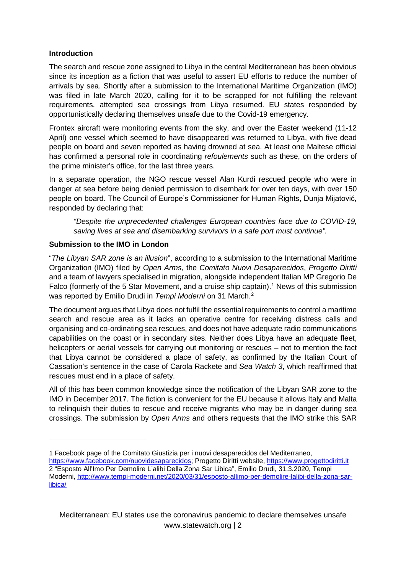## <span id="page-1-0"></span>**Introduction**

The search and rescue zone assigned to Libya in the central Mediterranean has been obvious since its inception as a fiction that was useful to assert EU efforts to reduce the number of arrivals by sea. Shortly after a submission to the International Maritime Organization (IMO) was filed in late March 2020, calling for it to be scrapped for not fulfilling the relevant requirements, attempted sea crossings from Libya resumed. EU states responded by opportunistically declaring themselves unsafe due to the Covid-19 emergency.

Frontex aircraft were monitoring events from the sky, and over the Easter weekend (11-12 April) one vessel which seemed to have disappeared was returned to Libya, with five dead people on board and seven reported as having drowned at sea. At least one Maltese official has confirmed a personal role in coordinating *refoulements* such as these, on the orders of the prime minister's office, for the last three years.

In a separate operation, the NGO rescue vessel Alan Kurdi rescued people who were in danger at sea before being denied permission to disembark for over ten days, with over 150 people on board. The Council of Europe's Commissioner for Human Rights, Dunja Mijatović, responded by declaring that:

*"Despite the unprecedented challenges European countries face due to COVID-19, saving lives at sea and disembarking survivors in a safe port must continue".*

## <span id="page-1-1"></span>**Submission to the IMO in London**

-

"*The Libyan SAR zone is an illusion*", according to a submission to the International Maritime Organization (IMO) filed by *Open Arms*, the *Comitato Nuovi Desaparecidos*, *Progetto Diritti* and a team of lawyers specialised in migration, alongside independent Italian MP Gregorio De Falco (formerly of the 5 Star Movement, and a cruise ship captain).<sup>[1](#page-1-2)</sup> News of this submission was reported by Emilio Drudi in *Tempi Moderni* on 31 March.[2](#page-1-3)

The document argues that Libya does not fulfil the essential requirements to control a maritime search and rescue area as it lacks an operative centre for receiving distress calls and organising and co-ordinating sea rescues, and does not have adequate radio communications capabilities on the coast or in secondary sites. Neither does Libya have an adequate fleet, helicopters or aerial vessels for carrying out monitoring or rescues – not to mention the fact that Libya cannot be considered a place of safety, as confirmed by the Italian Court of Cassation's sentence in the case of Carola Rackete and *Sea Watch 3*, which reaffirmed that rescues must end in a place of safety.

All of this has been common knowledge since the notification of the Libyan SAR zone to the IMO in December 2017. The fiction is convenient for the EU because it allows Italy and Malta to relinquish their duties to rescue and receive migrants who may be in danger during sea crossings. The submission by *Open Arms* and others requests that the IMO strike this SAR

<span id="page-1-3"></span><span id="page-1-2"></span><sup>1</sup> Facebook page of the Comitato Giustizia per i nuovi desaparecidos del Mediterraneo, https://www.facebook.com/nuovidesaparecidos: Progetto Diritti website, [https://www.progettodiritti.it](https://www.progettodiritti.it/) 2 "Esposto All'Imo Per Demolire L'alibi Della Zona Sar Libica", Emilio Drudi, 31.3.2020, Tempi Moderni, [http://www.tempi-moderni.net/2020/03/31/esposto-allimo-per-demolire-lalibi-della-zona-sar](http://www.tempi-moderni.net/2020/03/31/esposto-allimo-per-demolire-lalibi-della-zona-sar-libica/)[libica/](http://www.tempi-moderni.net/2020/03/31/esposto-allimo-per-demolire-lalibi-della-zona-sar-libica/)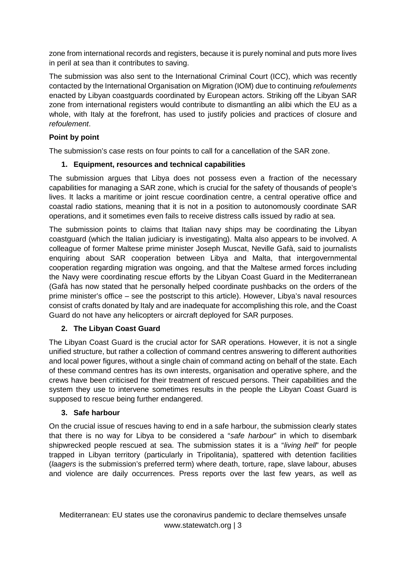zone from international records and registers, because it is purely nominal and puts more lives in peril at sea than it contributes to saving.

The submission was also sent to the International Criminal Court (ICC), which was recently contacted by the International Organisation on Migration (IOM) due to continuing *refoulements* enacted by Libyan coastguards coordinated by European actors. Striking off the Libyan SAR zone from international registers would contribute to dismantling an alibi which the EU as a whole, with Italy at the forefront, has used to justify policies and practices of closure and *refoulement*.

## <span id="page-2-0"></span>**Point by point**

The submission's case rests on four points to call for a cancellation of the SAR zone.

## **1. Equipment, resources and technical capabilities**

The submission argues that Libya does not possess even a fraction of the necessary capabilities for managing a SAR zone, which is crucial for the safety of thousands of people's lives. It lacks a maritime or joint rescue coordination centre, a central operative office and coastal radio stations, meaning that it is not in a position to autonomously coordinate SAR operations, and it sometimes even fails to receive distress calls issued by radio at sea.

The submission points to claims that Italian navy ships may be coordinating the Libyan coastguard (which the Italian judiciary is investigating). Malta also appears to be involved. A colleague of former Maltese prime minister Joseph Muscat, Neville Gafà, said to journalists enquiring about SAR cooperation between Libya and Malta, that intergovernmental cooperation regarding migration was ongoing, and that the Maltese armed forces including the Navy were coordinating rescue efforts by the Libyan Coast Guard in the Mediterranean (Gafà has now stated that he personally helped coordinate pushbacks on the orders of the prime minister's office – see the postscript to this article). However, Libya's naval resources consist of crafts donated by Italy and are inadequate for accomplishing this role, and the Coast Guard do not have any helicopters or aircraft deployed for SAR purposes.

## **2. The Libyan Coast Guard**

The Libyan Coast Guard is the crucial actor for SAR operations. However, it is not a single unified structure, but rather a collection of command centres answering to different authorities and local power figures, without a single chain of command acting on behalf of the state. Each of these command centres has its own interests, organisation and operative sphere, and the crews have been criticised for their treatment of rescued persons. Their capabilities and the system they use to intervene sometimes results in the people the Libyan Coast Guard is supposed to rescue being further endangered.

## **3. Safe harbour**

On the crucial issue of rescues having to end in a safe harbour, the submission clearly states that there is no way for Libya to be considered a "*safe harbour*" in which to disembark shipwrecked people rescued at sea. The submission states it is a "*living hell*" for people trapped in Libyan territory (particularly in Tripolitania), spattered with detention facilities (*laagers* is the submission's preferred term) where death, torture, rape, slave labour, abuses and violence are daily occurrences. Press reports over the last few years, as well as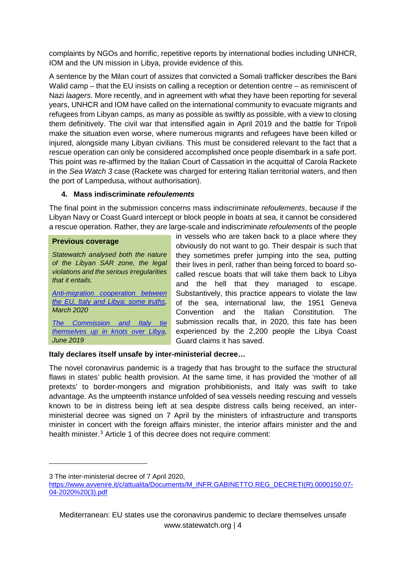complaints by NGOs and horrific, repetitive reports by international bodies including UNHCR, IOM and the UN mission in Libya, provide evidence of this.

A sentence by the Milan court of assizes that convicted a Somali trafficker describes the Bani Walid camp – that the EU insists on calling a reception or detention centre – as reminiscent of Nazi *laagers*. More recently, and in agreement with what they have been reporting for several years, UNHCR and IOM have called on the international community to evacuate migrants and refugees from Libyan camps, as many as possible as swiftly as possible, with a view to closing them definitively. The civil war that intensified again in April 2019 and the battle for Tripoli make the situation even worse, where numerous migrants and refugees have been killed or injured, alongside many Libyan civilians. This must be considered relevant to the fact that a rescue operation can only be considered accomplished once people disembark in a safe port. This point was re-affirmed by the Italian Court of Cassation in the acquittal of Carola Rackete in the *Sea Watch 3* case (Rackete was charged for entering Italian territorial waters, and then the port of Lampedusa, without authorisation).

## **4. Mass indiscriminate** *refoulements*

The final point in the submission concerns mass indiscriminate *refoulements*, because if the Libyan Navy or Coast Guard intercept or block people in boats at sea, it cannot be considered a rescue operation. Rather, they are large-scale and indiscriminate *refoulements* of the people

#### **Previous coverage**

*Statewatch analysed both the nature of the Libyan SAR zone, the legal violations and the serious irregularities that it entails.*

*[Anti-migration cooperation between](http://www.statewatch.org/analyses/no-356-some-truths-about-libya.pdf)  [the EU, Italy and Libya: some truths,](http://www.statewatch.org/analyses/no-356-some-truths-about-libya.pdf) March 2020*

*[The Commission and Italy](https://www.statewatch.org/analyses/no-344-Commission-and-Italy-tie-themselves-up-in-knots-over-libya.pdf) tie [themselves up in](https://www.statewatch.org/analyses/no-344-Commission-and-Italy-tie-themselves-up-in-knots-over-libya.pdf) knots over Libya, June 2019*

in vessels who are taken back to a place where they obviously do not want to go. Their despair is such that they sometimes prefer jumping into the sea, putting their lives in peril, rather than being forced to board socalled rescue boats that will take them back to Libya and the hell that they managed to escape. Substantively, this practice appears to violate the law of the sea, international law, the 1951 Geneva Convention and the Italian Constitution. The submission recalls that, in 2020, this fate has been experienced by the 2,200 people the Libya Coast Guard claims it has saved.

#### <span id="page-3-0"></span>**Italy declares itself unsafe by inter-ministerial decree…**

The novel coronavirus pandemic is a tragedy that has brought to the surface the structural flaws in states' public health provision. At the same time, it has provided the 'mother of all pretexts' to border-mongers and migration prohibitionists, and Italy was swift to take advantage. As the umpteenth instance unfolded of sea vessels needing rescuing and vessels known to be in distress being left at sea despite distress calls being received, an interministerial decree was signed on 7 April by the ministers of infrastructure and transports minister in concert with the foreign affairs minister, the interior affairs minister and the and health minister.<sup>[3](#page-3-1)</sup> Article 1 of this decree does not require comment:

-

<span id="page-3-1"></span><sup>3</sup> The inter-ministerial decree of 7 April 2020,

[https://www.avvenire.it/c/attualita/Documents/M\\_INFR.GABINETTO.REG\\_DECRETI\(R\).0000150.07-](https://www.avvenire.it/c/attualita/Documents/M_INFR.GABINETTO.REG_DECRETI(R).0000150.07-04-2020%20(3).pdf) [04-2020%20\(3\).pdf](https://www.avvenire.it/c/attualita/Documents/M_INFR.GABINETTO.REG_DECRETI(R).0000150.07-04-2020%20(3).pdf)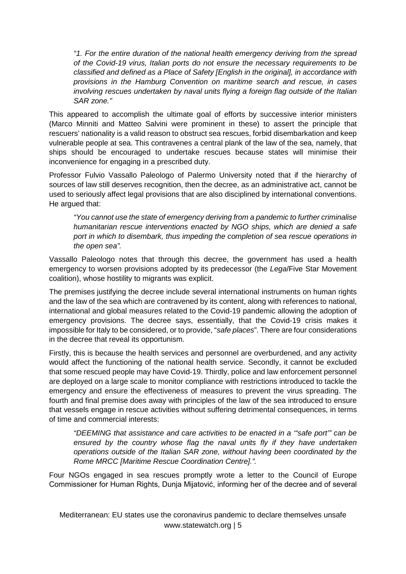*"1. For the entire duration of the national health emergency deriving from the spread of the Covid-19 virus, Italian ports do not ensure the necessary requirements to be classified and defined as a Place of Safety [English in the original], in accordance with provisions in the Hamburg Convention on maritime search and rescue, in cases involving rescues undertaken by naval units flying a foreign flag outside of the Italian SAR zone."*

This appeared to accomplish the ultimate goal of efforts by successive interior ministers (Marco Minniti and Matteo Salvini were prominent in these) to assert the principle that rescuers' nationality is a valid reason to obstruct sea rescues, forbid disembarkation and keep vulnerable people at sea. This contravenes a central plank of the law of the sea, namely, that ships should be encouraged to undertake rescues because states will minimise their inconvenience for engaging in a prescribed duty.

Professor Fulvio Vassallo Paleologo of Palermo University noted that if the hierarchy of sources of law still deserves recognition, then the decree, as an administrative act, cannot be used to seriously affect legal provisions that are also disciplined by international conventions. He argued that:

*"You cannot use the state of emergency deriving from a pandemic to further criminalise humanitarian rescue interventions enacted by NGO ships, which are denied a safe port in which to disembark, thus impeding the completion of sea rescue operations in the open sea".*

Vassallo Paleologo notes that through this decree, the government has used a health emergency to worsen provisions adopted by its predecessor (the *Lega*/Five Star Movement coalition), whose hostility to migrants was explicit.

The premises justifying the decree include several international instruments on human rights and the law of the sea which are contravened by its content, along with references to national, international and global measures related to the Covid-19 pandemic allowing the adoption of emergency provisions. The decree says, essentially, that the Covid-19 crisis makes it impossible for Italy to be considered, or to provide, "*safe places*". There are four considerations in the decree that reveal its opportunism.

Firstly, this is because the health services and personnel are overburdened, and any activity would affect the functioning of the national health service. Secondly, it cannot be excluded that some rescued people may have Covid-19. Thirdly, police and law enforcement personnel are deployed on a large scale to monitor compliance with restrictions introduced to tackle the emergency and ensure the effectiveness of measures to prevent the virus spreading. The fourth and final premise does away with principles of the law of the sea introduced to ensure that vessels engage in rescue activities without suffering detrimental consequences, in terms of time and commercial interests:

*"DEEMING that assistance and care activities to be enacted in a '"safe port'" can be*  ensured by the country whose flag the naval units fly if they have undertaken *operations outside of the Italian SAR zone, without having been coordinated by the Rome MRCC [Maritime Rescue Coordination Centre].".* 

Four NGOs engaged in sea rescues promptly wrote a letter to the Council of Europe Commissioner for Human Rights, Dunja Mijatović, informing her of the decree and of several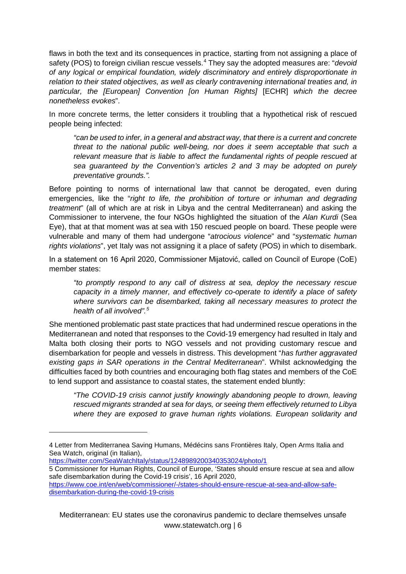flaws in both the text and its consequences in practice, starting from not assigning a place of safety (POS) to foreign civilian rescue vessels.[4](#page-5-0) They say the adopted measures are: "*devoid of any logical or empirical foundation, widely discriminatory and entirely disproportionate in relation to their stated objectives, as well as clearly contravening international treaties and, in particular, the [European] Convention [on Human Rights]* [ECHR] *which the decree nonetheless evokes*".

In more concrete terms, the letter considers it troubling that a hypothetical risk of rescued people being infected:

*"can be used to infer, in a general and abstract way, that there is a current and concrete threat to the national public well-being, nor does it seem acceptable that such a relevant measure that is liable to affect the fundamental rights of people rescued at sea guaranteed by the Convention's articles 2 and 3 may be adopted on purely preventative grounds.".* 

Before pointing to norms of international law that cannot be derogated, even during emergencies, like the "*right to life, the prohibition of torture or inhuman and degrading treatment*" (all of which are at risk in Libya and the central Mediterranean) and asking the Commissioner to intervene, the four NGOs highlighted the situation of the *Alan Kurdi* (Sea Eye), that at that moment was at sea with 150 rescued people on board. These people were vulnerable and many of them had undergone "*atrocious violence*" and "*systematic human rights violations*", yet Italy was not assigning it a place of safety (POS) in which to disembark.

In a statement on 16 April 2020, Commissioner Mijatović, called on Council of Europe (CoE) member states:

*"to promptly respond to any call of distress at sea, deploy the necessary rescue capacity in a timely manner, and effectively co-operate to identify a place of safety where survivors can be disembarked, taking all necessary measures to protect the health of all involved".[5](#page-5-1)*

She mentioned problematic past state practices that had undermined rescue operations in the Mediterranean and noted that responses to the Covid-19 emergency had resulted in Italy and Malta both closing their ports to NGO vessels and not providing customary rescue and disembarkation for people and vessels in distress. This development "*has further aggravated existing gaps in SAR operations in the Central Mediterranean*". Whilst acknowledging the difficulties faced by both countries and encouraging both flag states and members of the CoE to lend support and assistance to coastal states, the statement ended bluntly:

*"The COVID-19 crisis cannot justify knowingly abandoning people to drown, leaving rescued migrants stranded at sea for days, or seeing them effectively returned to Libya where they are exposed to grave human rights violations. European solidarity and* 

<https://twitter.com/SeaWatchItaly/status/1248989200340353024/photo/1>

-

<span id="page-5-1"></span>5 Commissioner for Human Rights, Council of Europe, 'States should ensure rescue at sea and allow safe disembarkation during the Covid-19 crisis', 16 April 2020,

<span id="page-5-0"></span><sup>4</sup> Letter from Mediterranea Saving Humans, Médécins sans Frontières Italy, Open Arms Italia and Sea Watch, original (in Italian),

[https://www.coe.int/en/web/commissioner/-/states-should-ensure-rescue-at-sea-and-allow-safe](https://www.coe.int/en/web/commissioner/-/states-should-ensure-rescue-at-sea-and-allow-safe-disembarkation-during-the-covid-19-crisis)[disembarkation-during-the-covid-19-crisis](https://www.coe.int/en/web/commissioner/-/states-should-ensure-rescue-at-sea-and-allow-safe-disembarkation-during-the-covid-19-crisis)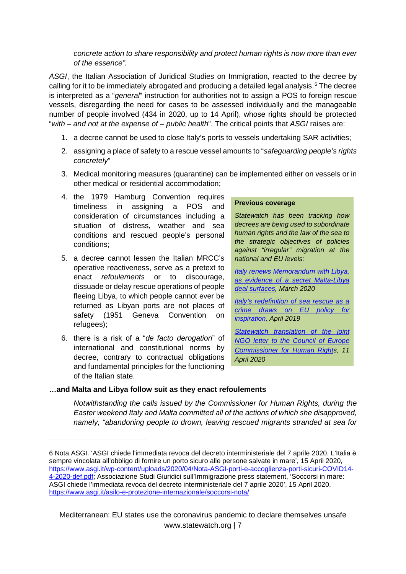*concrete action to share responsibility and protect human rights is now more than ever of the essence".*

*ASGI*, the Italian Association of Juridical Studies on Immigration, reacted to the decree by calling for it to be immediately abrogated and producing a detailed legal analysis.<sup>[6](#page-6-1)</sup> The decree is interpreted as a "*general*" instruction for authorities not to assign a POS to foreign rescue vessels, disregarding the need for cases to be assessed individually and the manageable number of people involved (434 in 2020, up to 14 April), whose rights should be protected "*with – and not at the expense of – public health*". The critical points that *ASGI* raises are:

- 1. a decree cannot be used to close Italy's ports to vessels undertaking SAR activities;
- 2. assigning a place of safety to a rescue vessel amounts to "*safeguarding people's rights concretely*"
- 3. Medical monitoring measures (quarantine) can be implemented either on vessels or in other medical or residential accommodation;
- 4. the 1979 Hamburg Convention requires timeliness in assigning a POS and consideration of circumstances including a situation of distress, weather and sea conditions and rescued people's personal conditions;
- 5. a decree cannot lessen the Italian MRCC's operative reactiveness, serve as a pretext to enact *refoulements* or to discourage, dissuade or delay rescue operations of people fleeing Libya, to which people cannot ever be returned as Libyan ports are not places of safety (1951 Geneva Convention on refugees);
- 6. there is a risk of a "*de facto derogation*" of international and constitutional norms by decree, contrary to contractual obligations and fundamental principles for the functioning of the Italian state.

-

#### **Previous coverage**

*Statewatch has been tracking how decrees are being used to subordinate human rights and the law of the sea to the strategic objectives of policies against "irregular" migration at the national and EU levels:*

*[Italy renews Memorandum with Libya,](https://www.statewatch.org/analyses/no-357-renewal-italy-libya-memorandum.pdf)  [as evidence of a secret Malta-Libya](https://www.statewatch.org/analyses/no-357-renewal-italy-libya-memorandum.pdf)  [deal surfaces,](https://www.statewatch.org/analyses/no-357-renewal-italy-libya-memorandum.pdf) March 2020*

*[Italy's redefinition of sea rescue as a](https://www.statewatch.org/analyses/no-341-italy-salvini-boats-directive.pdf)  [crime draws on EU policy for](https://www.statewatch.org/analyses/no-341-italy-salvini-boats-directive.pdf)  [inspiration,](https://www.statewatch.org/analyses/no-341-italy-salvini-boats-directive.pdf) April 2019*

*[Statewatch translation of the](http://statewatch.org/news/2020/may/coe-appeal-italy.htm) joint NGO letter to the [Council of Europe](http://statewatch.org/news/2020/may/coe-appeal-italy.htm)  [Commissioner for Human Rights](http://statewatch.org/news/2020/may/coe-appeal-italy.htm), 11 April 2020*

#### <span id="page-6-0"></span>**…and Malta and Libya follow suit as they enact refoulements**

*Notwithstanding the calls issued by the Commissioner for Human Rights, during the Easter weekend Italy and Malta committed all of the actions of which she disapproved, namely, "abandoning people to drown, leaving rescued migrants stranded at sea for* 

<span id="page-6-1"></span><sup>6</sup> Nota ASGI. 'ASGI chiede l'immediata revoca del decreto interministeriale del 7 aprile 2020. L'Italia è sempre vincolata all'obbligo di fornire un porto sicuro alle persone salvate in mare', 15 April 2020, [https://www.asgi.it/wp-content/uploads/2020/04/Nota-ASGI-porti-e-accoglienza-porti-sicuri-COVID14-](https://www.asgi.it/wp-content/uploads/2020/04/Nota-ASGI-porti-e-accoglienza-porti-sicuri-COVID14-4-2020-def.pdf) [4-2020-def.pdf;](https://www.asgi.it/wp-content/uploads/2020/04/Nota-ASGI-porti-e-accoglienza-porti-sicuri-COVID14-4-2020-def.pdf) Associazione Studi Giuridici sull'Immigrazione press statement, 'Soccorsi in mare: ASGI chiede l'immediata revoca del decreto interministeriale del 7 aprile 2020', 15 April 2020, <https://www.asgi.it/asilo-e-protezione-internazionale/soccorsi-nota/>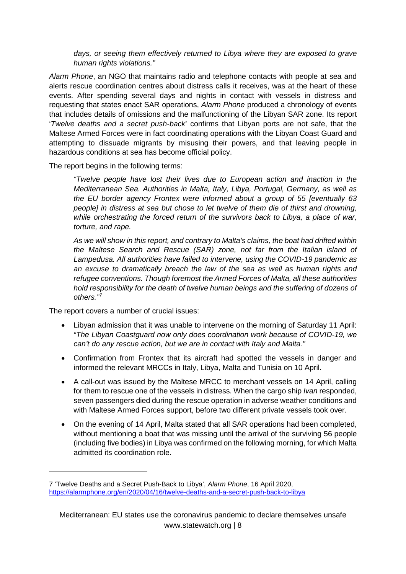*days, or seeing them effectively returned to Libya where they are exposed to grave human rights violations."* 

*Alarm Phone*, an NGO that maintains radio and telephone contacts with people at sea and alerts rescue coordination centres about distress calls it receives, was at the heart of these events. After spending several days and nights in contact with vessels in distress and requesting that states enact SAR operations, *Alarm Phone* produced a chronology of events that includes details of omissions and the malfunctioning of the Libyan SAR zone. Its report '*Twelve deaths and a secret push-back*' confirms that Libyan ports are not safe, that the Maltese Armed Forces were in fact coordinating operations with the Libyan Coast Guard and attempting to dissuade migrants by misusing their powers, and that leaving people in hazardous conditions at sea has become official policy.

The report begins in the following terms:

*"Twelve people have lost their lives due to European action and inaction in the Mediterranean Sea. Authorities in Malta, Italy, Libya, Portugal, Germany, as well as the EU border agency Frontex were informed about a group of 55 [eventually 63 people] in distress at sea but chose to let twelve of them die of thirst and drowning, while orchestrating the forced return of the survivors back to Libya, a place of war, torture, and rape.*

*As we will show in this report, and contrary to Malta's claims, the boat had drifted within the Maltese Search and Rescue (SAR) zone, not far from the Italian island of Lampedusa. All authorities have failed to intervene, using the COVID-19 pandemic as an excuse to dramatically breach the law of the sea as well as human rights and refugee conventions. Though foremost the Armed Forces of Malta, all these authorities hold responsibility for the death of twelve human beings and the suffering of dozens of others." [7](#page-7-0)*

The report covers a number of crucial issues:

-

- Libyan admission that it was unable to intervene on the morning of Saturday 11 April: *"The Libyan Coastguard now only does coordination work because of COVID-19, we can't do any rescue action, but we are in contact with Italy and Malta."*
- Confirmation from Frontex that its aircraft had spotted the vessels in danger and informed the relevant MRCCs in Italy, Libya, Malta and Tunisia on 10 April.
- A call-out was issued by the Maltese MRCC to merchant vessels on 14 April, calling for them to rescue one of the vessels in distress. When the cargo ship *Ivan* responded, seven passengers died during the rescue operation in adverse weather conditions and with Maltese Armed Forces support, before two different private vessels took over.
- On the evening of 14 April, Malta stated that all SAR operations had been completed, without mentioning a boat that was missing until the arrival of the surviving 56 people (including five bodies) in Libya was confirmed on the following morning, for which Malta admitted its coordination role.

<span id="page-7-0"></span><sup>7</sup> 'Twelve Deaths and a Secret Push-Back to Libya', *Alarm Phone*, 16 April 2020, <https://alarmphone.org/en/2020/04/16/twelve-deaths-and-a-secret-push-back-to-libya>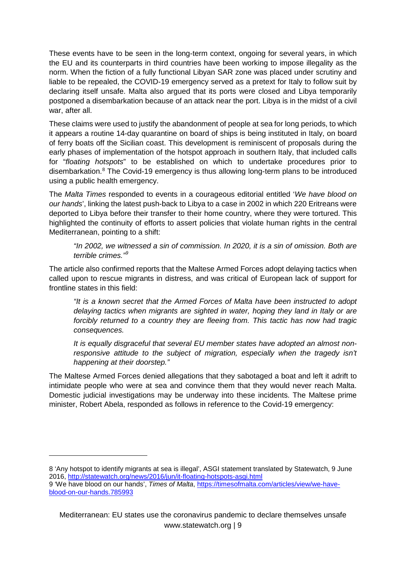These events have to be seen in the long-term context, ongoing for several years, in which the EU and its counterparts in third countries have been working to impose illegality as the norm. When the fiction of a fully functional Libyan SAR zone was placed under scrutiny and liable to be repealed, the COVID-19 emergency served as a pretext for Italy to follow suit by declaring itself unsafe. Malta also argued that its ports were closed and Libya temporarily postponed a disembarkation because of an attack near the port. Libya is in the midst of a civil war, after all.

These claims were used to justify the abandonment of people at sea for long periods, to which it appears a routine 14-day quarantine on board of ships is being instituted in Italy, on board of ferry boats off the Sicilian coast. This development is reminiscent of proposals during the early phases of implementation of the hotspot approach in southern Italy, that included calls for "*floating hotspots*" to be established on which to undertake procedures prior to disembarkation.[8](#page-8-0) The Covid-19 emergency is thus allowing long-term plans to be introduced using a public health emergency.

The *Malta Times* responded to events in a courageous editorial entitled '*We have blood on our hands*', linking the latest push-back to Libya to a case in 2002 in which 220 Eritreans were deported to Libya before their transfer to their home country, where they were tortured. This highlighted the continuity of efforts to assert policies that violate human rights in the central Mediterranean, pointing to a shift:

*"In 2002, we witnessed a sin of commission. In 2020, it is a sin of omission. Both are terrible crimes."[9](#page-8-1)*

The article also confirmed reports that the Maltese Armed Forces adopt delaying tactics when called upon to rescue migrants in distress, and was critical of European lack of support for frontline states in this field:

*"It is a known secret that the Armed Forces of Malta have been instructed to adopt delaying tactics when migrants are sighted in water, hoping they land in Italy or are*  forcibly returned to a country they are fleeing from. This tactic has now had tragic *consequences.*

*It is equally disgraceful that several EU member states have adopted an almost nonresponsive attitude to the subject of migration, especially when the tragedy isn't happening at their doorstep."*

The Maltese Armed Forces denied allegations that they sabotaged a boat and left it adrift to intimidate people who were at sea and convince them that they would never reach Malta. Domestic judicial investigations may be underway into these incidents. The Maltese prime minister, Robert Abela, responded as follows in reference to the Covid-19 emergency:

-

<span id="page-8-0"></span><sup>8</sup> 'Any hotspot to identify migrants at sea is illegal', ASGI statement translated by Statewatch, 9 June 2016,<http://statewatch.org/news/2016/jun/it-floating-hotspots-asgi.html>

<span id="page-8-1"></span><sup>9</sup> 'We have blood on our hands', *Times of Malta*, [https://timesofmalta.com/articles/view/we-have](https://timesofmalta.com/articles/view/we-have-blood-on-our-hands.785993)[blood-on-our-hands.785993](https://timesofmalta.com/articles/view/we-have-blood-on-our-hands.785993)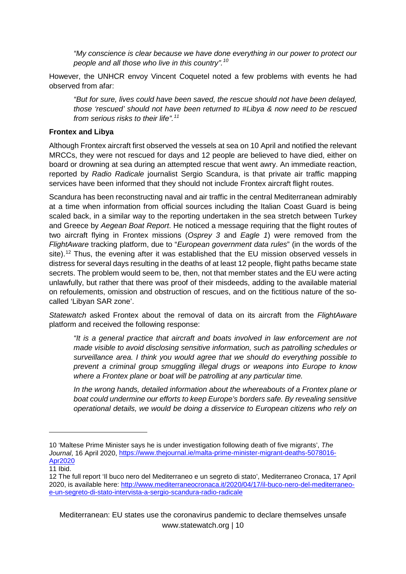*"My conscience is clear because we have done everything in our power to protect our people and all those who live in this country".[10](#page-9-1)*

However, the UNHCR envoy Vincent Coquetel noted a few problems with events he had observed from afar:

*"But for sure, lives could have been saved, the rescue should not have been delayed, those 'rescued' should not have been returned to #Libya & now need to be rescued from serious risks to their life".[11](#page-9-2)*

#### <span id="page-9-0"></span>**Frontex and Libya**

Although Frontex aircraft first observed the vessels at sea on 10 April and notified the relevant MRCCs, they were not rescued for days and 12 people are believed to have died, either on board or drowning at sea during an attempted rescue that went awry. An immediate reaction, reported by *Radio Radicale* journalist Sergio Scandura, is that private air traffic mapping services have been informed that they should not include Frontex aircraft flight routes.

Scandura has been reconstructing naval and air traffic in the central Mediterranean admirably at a time when information from official sources including the Italian Coast Guard is being scaled back, in a similar way to the reporting undertaken in the sea stretch between Turkey and Greece by *Aegean Boat Report*. He noticed a message requiring that the flight routes of two aircraft flying in Frontex missions (*Osprey 3* and *Eagle 1*) were removed from the *FlightAware* tracking platform, due to "*European government data rules*" (in the words of the site).<sup>[12](#page-9-3)</sup> Thus, the evening after it was established that the EU mission observed vessels in distress for several days resulting in the deaths of at least 12 people, flight paths became state secrets. The problem would seem to be, then, not that member states and the EU were acting unlawfully, but rather that there was proof of their misdeeds, adding to the available material on refoulements, omission and obstruction of rescues, and on the fictitious nature of the socalled 'Libyan SAR zone'.

*Statewatch* asked Frontex about the removal of data on its aircraft from the *FlightAware* platform and received the following response:

*"It is a general practice that aircraft and boats involved in law enforcement are not made visible to avoid disclosing sensitive information, such as patrolling schedules or surveillance area. I think you would agree that we should do everything possible to prevent a criminal group smuggling illegal drugs or weapons into Europe to know where a Frontex plane or boat will be patrolling at any particular time.*

*In the wrong hands, detailed information about the whereabouts of a Frontex plane or boat could undermine our efforts to keep Europe's borders safe. By revealing sensitive operational details, we would be doing a disservice to European citizens who rely on* 

-

<span id="page-9-1"></span><sup>10</sup> 'Maltese Prime Minister says he is under investigation following death of five migrants', *The Journal*, 16 April 2020, [https://www.thejournal.ie/malta-prime-minister-migrant-deaths-5078016-](https://www.thejournal.ie/malta-prime-minister-migrant-deaths-5078016-Apr2020) [Apr2020](https://www.thejournal.ie/malta-prime-minister-migrant-deaths-5078016-Apr2020)

<span id="page-9-2"></span><sup>11</sup> Ibid.

<span id="page-9-3"></span><sup>12</sup> The full report 'Il buco nero del Mediterraneo e un segreto di stato', Mediterraneo Cronaca, 17 April 2020, is available here: [http://www.mediterraneocronaca.it/2020/04/17/il-buco-nero-del-mediterraneo](http://www.mediterraneocronaca.it/2020/04/17/il-buco-nero-del-mediterraneo-e-un-segreto-di-stato-intervista-a-sergio-scandura-radio-radicale)[e-un-segreto-di-stato-intervista-a-sergio-scandura-radio-radicale](http://www.mediterraneocronaca.it/2020/04/17/il-buco-nero-del-mediterraneo-e-un-segreto-di-stato-intervista-a-sergio-scandura-radio-radicale)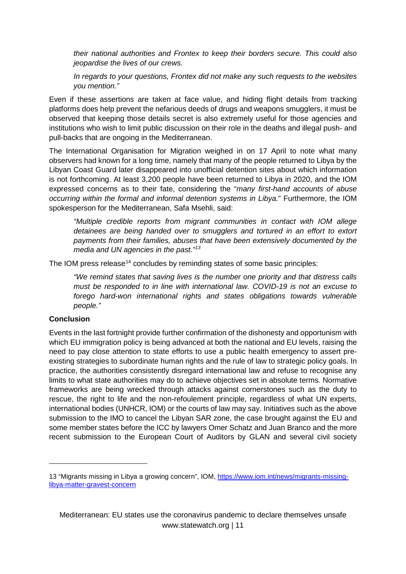*their national authorities and Frontex to keep their borders secure. This could also jeopardise the lives of our crews.*

*In regards to your questions, Frontex did not make any such requests to the websites you mention."*

Even if these assertions are taken at face value, and hiding flight details from tracking platforms does help prevent the nefarious deeds of drugs and weapons smugglers, it must be observed that keeping those details secret is also extremely useful for those agencies and institutions who wish to limit public discussion on their role in the deaths and illegal push- and pull-backs that are ongoing in the Mediterranean.

The International Organisation for Migration weighed in on 17 April to note what many observers had known for a long time, namely that many of the people returned to Libya by the Libyan Coast Guard later disappeared into unofficial detention sites about which information is not forthcoming. At least 3,200 people have been returned to Libya in 2020, and the IOM expressed concerns as to their fate, considering the "*many first-hand accounts of abuse occurring within the formal and informal detention systems in Libya.*" Furthermore, the IOM spokesperson for the Mediterranean, Safa Msehli, said:

*"Multiple credible reports from migrant communities in contact with IOM allege detainees are being handed over to smugglers and tortured in an effort to extort payments from their families, abuses that have been extensively documented by the media and UN agencies in the past."[13](#page-10-1)*

The IOM press release<sup>[14](#page-10-2)</sup> concludes by reminding states of some basic principles:

*"We remind states that saving lives is the number one priority and that distress calls must be responded to in line with international law. COVID-19 is not an excuse to forego hard-won international rights and states obligations towards vulnerable people."*

## <span id="page-10-0"></span>**Conclusion**

-

Events in the last fortnight provide further confirmation of the dishonesty and opportunism with which EU immigration policy is being advanced at both the national and EU levels, raising the need to pay close attention to state efforts to use a public health emergency to assert preexisting strategies to subordinate human rights and the rule of law to strategic policy goals. In practice, the authorities consistently disregard international law and refuse to recognise any limits to what state authorities may do to achieve objectives set in absolute terms. Normative frameworks are being wrecked through attacks against cornerstones such as the duty to rescue, the right to life and the non-refoulement principle, regardless of what UN experts, international bodies (UNHCR, IOM) or the courts of law may say. Initiatives such as the above submission to the IMO to cancel the Libyan SAR zone, the case brought against the EU and some member states before the ICC by lawyers Omer Schatz and Juan Branco and the more recent submission to the European Court of Auditors by GLAN and several civil society

<span id="page-10-2"></span><span id="page-10-1"></span><sup>13</sup> "Migrants missing in Libya a growing concern", IOM, [https://www.iom.int/news/migrants-missing](https://www.iom.int/news/migrants-missing-libya-matter-gravest-concern)[libya-matter-gravest-concern](https://www.iom.int/news/migrants-missing-libya-matter-gravest-concern)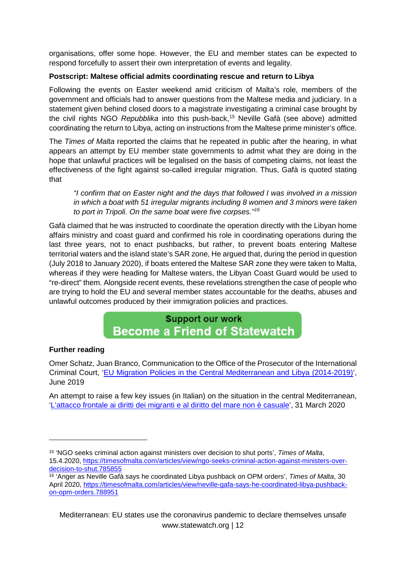organisations, offer some hope. However, the EU and member states can be expected to respond forcefully to assert their own interpretation of events and legality.

## <span id="page-11-0"></span>**Postscript: Maltese official admits coordinating rescue and return to Libya**

Following the events on Easter weekend amid criticism of Malta's role, members of the government and officials had to answer questions from the Maltese media and judiciary. In a statement given behind closed doors to a magistrate investigating a criminal case brought by the civil rights NGO *Repubblika* into this push-back, [15](#page-11-1) Neville Gafà (see above) admitted coordinating the return to Libya, acting on instructions from the Maltese prime minister's office.

The *Times of Malta* reported the claims that he repeated in public after the hearing, in what appears an attempt by EU member state governments to admit what they are doing in the hope that unlawful practices will be legalised on the basis of competing claims, not least the effectiveness of the fight against so-called irregular migration. Thus, Gafà is quoted stating that

*"I confirm that on Easter night and the days that followed I was involved in a mission in which a boat with 51 irregular migrants including 8 women and 3 minors were taken to port in Tripoli. On the same boat were five corpses."[16](#page-11-2)*

Gafà claimed that he was instructed to coordinate the operation directly with the Libyan home affairs ministry and coast guard and confirmed his role in coordinating operations during the last three years, not to enact pushbacks, but rather, to prevent boats entering Maltese territorial waters and the island state's SAR zone, He argued that, during the period in question (July 2018 to January 2020), if boats entered the Maltese SAR zone they were taken to Malta, whereas if they were heading for Maltese waters, the Libyan Coast Guard would be used to "re-direct" them. Alongside recent events, these revelations strengthen the case of people who are trying to hold the EU and several member states accountable for the deaths, abuses and unlawful outcomes produced by their immigration policies and practices.

## **Support our work Become a Friend of Statewatch**

## **Further reading**

-

Omer Schatz, Juan Branco, Communication to the Office of the Prosecutor of the International Criminal Court, ['EU Migration Policies in the Central Mediterranean and Libya \(2014-2019\)'](https://www.statewatch.org/news/2019/jun/eu-icc-case-EU-Migration-Policies.pdf), June 2019

An attempt to raise a few key issues (in Italian) on the situation in the central Mediterranean, ['L'attacco frontale ai diritti dei migranti e al diritto del mare non è casuale'](https://www.giustiziainsieme.it/it/il-magistrato-3/964-l-attacco-frontale-ai-diritti-dei-migranti-e-al-diritto-del-mare-non-e-casuale), 31 March 2020

<span id="page-11-1"></span><sup>15</sup> 'NGO seeks criminal action against ministers over decision to shut ports', *Times of Malta*, 15.4.2020, [https://timesofmalta.com/articles/view/ngo-seeks-criminal-action-against-ministers-over](https://timesofmalta.com/articles/view/ngo-seeks-criminal-action-against-ministers-over-decision-to-shut.785855)[decision-to-shut.785855](https://timesofmalta.com/articles/view/ngo-seeks-criminal-action-against-ministers-over-decision-to-shut.785855)

<span id="page-11-2"></span><sup>16</sup> 'Anger as Neville Gafà says he coordinated Libya pushback on OPM orders', *Times of Malta*, 30 April 2020, [https://timesofmalta.com/articles/view/neville-gafa-says-he-coordinated-libya-pushback](https://timesofmalta.com/articles/view/neville-gafa-says-he-coordinated-libya-pushback-on-opm-orders.788951)[on-opm-orders.788951](https://timesofmalta.com/articles/view/neville-gafa-says-he-coordinated-libya-pushback-on-opm-orders.788951)